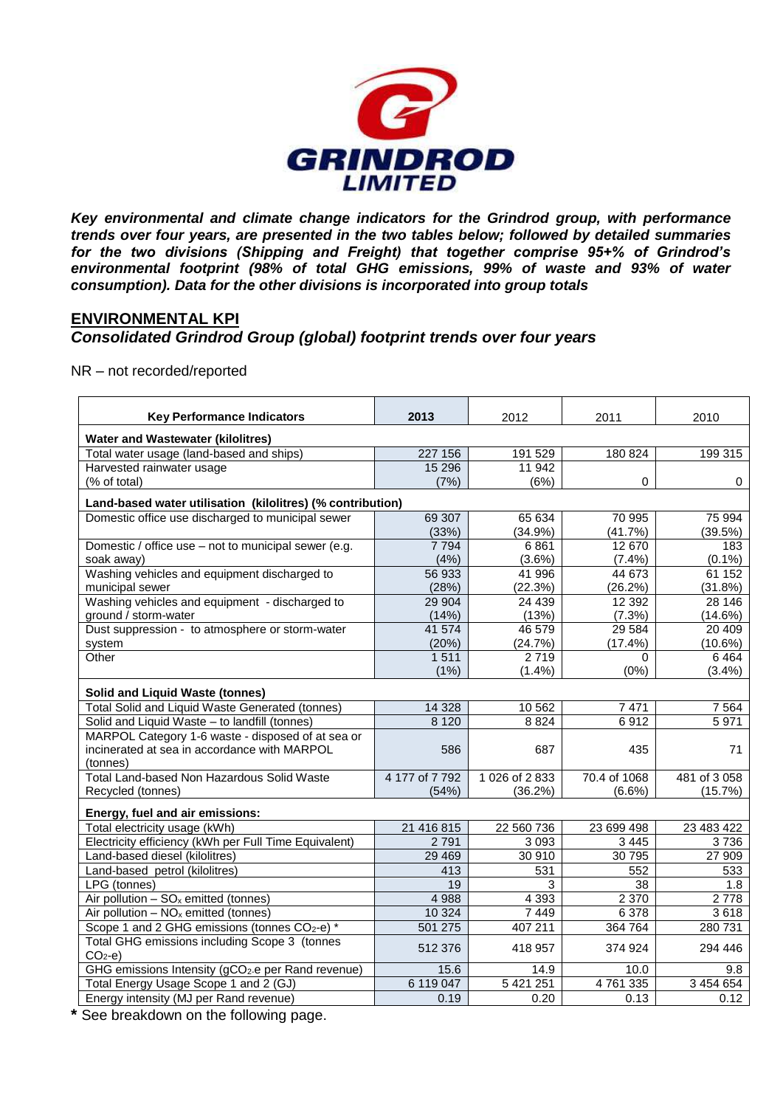

*Key environmental and climate change indicators for the Grindrod group, with performance trends over four years, are presented in the two tables below; followed by detailed summaries for the two divisions (Shipping and Freight) that together comprise 95+% of Grindrod's environmental footprint (98% of total GHG emissions, 99% of waste and 93% of water consumption). Data for the other divisions is incorporated into group totals*

# **ENVIRONMENTAL KPI**

## *Consolidated Grindrod Group (global) footprint trends over four years*

#### NR – not recorded/reported

| <b>Key Performance Indicators</b>                              | 2013           | 2012         | 2011         | 2010        |  |  |
|----------------------------------------------------------------|----------------|--------------|--------------|-------------|--|--|
| <b>Water and Wastewater (kilolitres)</b>                       |                |              |              |             |  |  |
| Total water usage (land-based and ships)                       | 227 156        | 191 529      | 180 824      | 199 315     |  |  |
| Harvested rainwater usage                                      | 15 29 6        | 11 942       |              |             |  |  |
| (% of total)                                                   | (7%)           | (6%)         | 0            | 0           |  |  |
| Land-based water utilisation (kilolitres) (% contribution)     |                |              |              |             |  |  |
| Domestic office use discharged to municipal sewer              | 69 307         | 65 634       | 70 995       | 75 994      |  |  |
|                                                                | (33%)          | (34.9%)      | (41.7%)      | (39.5%)     |  |  |
| Domestic / office use - not to municipal sewer (e.g.           | 7 7 9 4        | 6861         | 12 670       | 183         |  |  |
| soak away)                                                     | (4%)           | $(3.6\%)$    | (7.4%)       | $(0.1\%)$   |  |  |
| Washing vehicles and equipment discharged to                   | 56 933         | 41 996       | 44 673       | 61 152      |  |  |
| municipal sewer                                                | (28%)          | (22.3%)      | (26.2%)      | (31.8%)     |  |  |
| Washing vehicles and equipment - discharged to                 | 29 904         | 24 4 39      | 12 3 9 2     | 28 14 6     |  |  |
| ground / storm-water                                           | (14%)          | (13%)        | (7.3%)       | $(14.6\%)$  |  |  |
| Dust suppression - to atmosphere or storm-water                | 41 574         | 46 579       | 29 5 84      | 20 409      |  |  |
| system                                                         | (20%)          | (24.7%)      | $(17.4\%)$   | $(10.6\%)$  |  |  |
| Other                                                          | 1511           | 2719         | 0            | 6464        |  |  |
|                                                                | (1%)           | $(1.4\%)$    | (0%)         | $(3.4\%)$   |  |  |
| <b>Solid and Liquid Waste (tonnes)</b>                         |                |              |              |             |  |  |
| <b>Total Solid and Liquid Waste Generated (tonnes)</b>         | 14 3 28        | 10 562       | 7471         | 7 5 6 4     |  |  |
| Solid and Liquid Waste - to landfill (tonnes)                  | 8 1 2 0        | 8824         | 6912         | 5 9 7 1     |  |  |
| MARPOL Category 1-6 waste - disposed of at sea or              |                |              |              |             |  |  |
| incinerated at sea in accordance with MARPOL                   | 586            | 687          | 435          | 71          |  |  |
| (tonnes)                                                       |                |              |              |             |  |  |
| Total Land-based Non Hazardous Solid Waste                     | 4 177 of 7 792 | 1026 of 2833 | 70.4 of 1068 | 481 of 3058 |  |  |
| Recycled (tonnes)                                              | (54%)          | (36.2%)      | $(6.6\%)$    | $(15.7\%)$  |  |  |
| Energy, fuel and air emissions:                                |                |              |              |             |  |  |
| Total electricity usage (kWh)                                  | 21 416 815     | 22 560 736   | 23 699 498   | 23 483 422  |  |  |
| Electricity efficiency (kWh per Full Time Equivalent)          | 2 7 9 1        | 3 0 9 3      | 3 4 4 5      | 3736        |  |  |
| Land-based diesel (kilolitres)                                 | 29 4 69        | 30 910       | 30 795       | 27 909      |  |  |
| Land-based petrol (kilolitres)                                 | 413            | 531          | 552          | 533         |  |  |
| LPG (tonnes)                                                   | 19             | 3            | 38           | 1.8         |  |  |
| Air pollution $-$ SO <sub>x</sub> emitted (tonnes)             | 4 9 8 8        | 4 3 9 3      | 2 3 7 0      | 2778        |  |  |
| Air pollution $-$ NO <sub>x</sub> emitted (tonnes)             | 10 3 24        | 7 4 4 9      | 6 3 7 8      | 3618        |  |  |
| Scope 1 and 2 GHG emissions (tonnes CO <sub>2</sub> -e) *      | 501 275        | 407 211      | 364 764      | 280 731     |  |  |
| Total GHG emissions including Scope 3 (tonnes                  |                |              |              |             |  |  |
| $CO2-e$                                                        | 512 376        | 418 957      | 374 924      | 294 446     |  |  |
| GHG emissions Intensity (gCO <sub>2</sub> -e per Rand revenue) | 15.6           | 14.9         | 10.0         | 9.8         |  |  |
| Total Energy Usage Scope 1 and 2 (GJ)                          | 6 119 047      | 5 421 251    | 4761335      | 3 454 654   |  |  |
| Energy intensity (MJ per Rand revenue)                         | 0.19           | 0.20         | 0.13         | 0.12        |  |  |

**\*** See breakdown on the following page.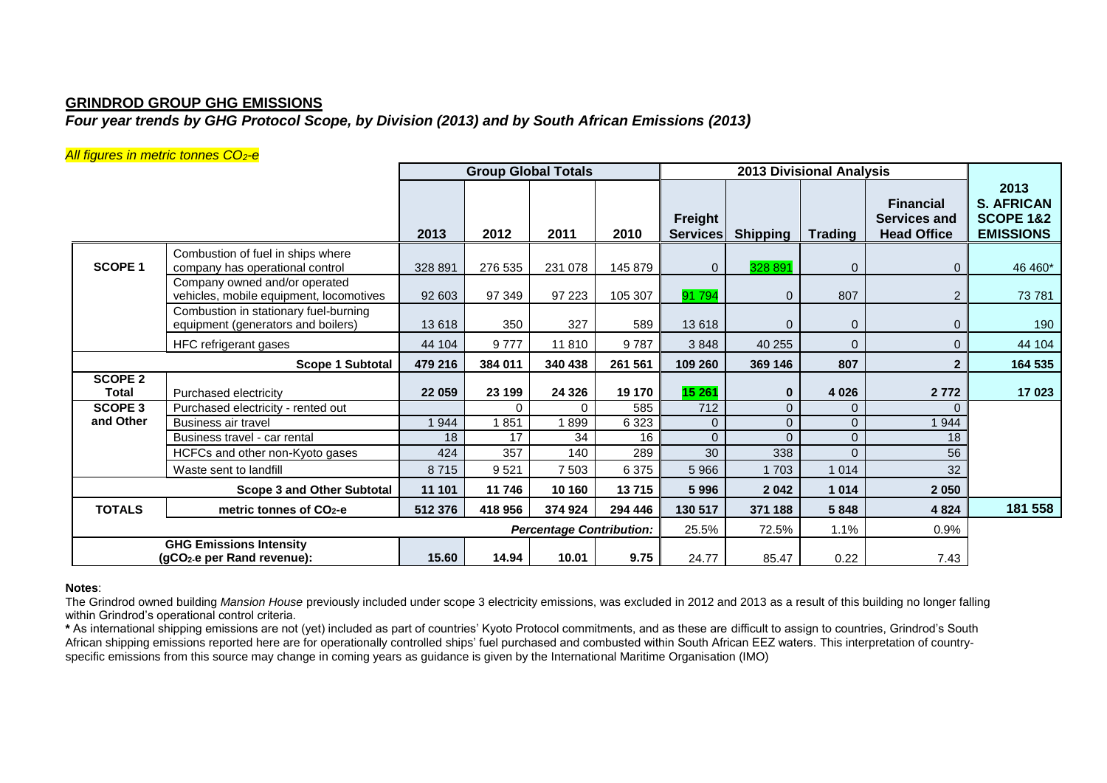### **GRINDROD GROUP GHG EMISSIONS**

# *Four year trends by GHG Protocol Scope, by Division (2013) and by South African Emissions (2013)*

#### *All figures in metric tonnes CO2-e*

|                                |                                                                             |         | <b>Group Global Totals</b> |                                 |         | <b>2013 Divisional Analysis</b> |                 |                |                                                               |                                                                       |
|--------------------------------|-----------------------------------------------------------------------------|---------|----------------------------|---------------------------------|---------|---------------------------------|-----------------|----------------|---------------------------------------------------------------|-----------------------------------------------------------------------|
|                                |                                                                             | 2013    | 2012                       | 2011                            | 2010    | Freight<br><b>Services</b>      | <b>Shipping</b> | <b>Trading</b> | <b>Financial</b><br><b>Services and</b><br><b>Head Office</b> | 2013<br><b>S. AFRICAN</b><br><b>SCOPE 1&amp;2</b><br><b>EMISSIONS</b> |
| <b>SCOPE 1</b>                 | Combustion of fuel in ships where<br>company has operational control        | 328 891 | 276 535                    | 231 078                         | 145 879 | $\mathbf{0}$                    | 328 891         | $\mathbf{0}$   | 0                                                             | 46 460*                                                               |
|                                | Company owned and/or operated<br>vehicles, mobile equipment, locomotives    | 92 603  | 97 349                     | 97 223                          | 105 307 | 91 794                          | $\mathbf{0}$    | 807            | $\overline{2}$                                                | 73 781                                                                |
|                                | Combustion in stationary fuel-burning<br>equipment (generators and boilers) | 13618   | 350                        | 327                             | 589     | 13 618                          | $\mathbf{0}$    | $\mathbf 0$    | 0                                                             | 190                                                                   |
|                                | HFC refrigerant gases                                                       | 44 104  | 9777                       | 11810                           | 9787    | 3848                            | 40 255          | $\mathbf{0}$   | 0                                                             | 44 104                                                                |
|                                | Scope 1 Subtotal                                                            | 479 216 | 384 011                    | 340 438                         | 261 561 | 109 260                         | 369 146         | 807<br>2       |                                                               | 164 535                                                               |
| <b>SCOPE 2</b><br><b>Total</b> | Purchased electricity                                                       | 22 059  | 23 199                     | 24 3 26                         | 19 170  | 15 261                          | $\bf{0}$        | 4 0 26         | 2772                                                          | 17 023                                                                |
| <b>SCOPE 3</b>                 | Purchased electricity - rented out                                          |         |                            | $\Omega$                        | 585     | 712                             | $\mathbf{0}$    | $\mathbf{0}$   | 0                                                             |                                                                       |
| and Other                      | Business air travel                                                         | 944     | 1851                       | 1899                            | 6 3 2 3 | $\mathbf 0$                     | $\mathbf{0}$    | $\mathbf 0$    | 944                                                           |                                                                       |
|                                | Business travel - car rental                                                | 18      | 17                         | 34                              | 16      | $\Omega$                        | $\Omega$        | $\overline{0}$ | 18                                                            |                                                                       |
|                                | HCFCs and other non-Kyoto gases                                             | 424     | 357                        | 140                             | 289     | 30                              | 338             | $\Omega$       | 56                                                            |                                                                       |
|                                | Waste sent to landfill                                                      | 8715    | 9521                       | 7 5 0 3                         | 6 3 7 5 | 5966                            | 1 703           | 1 0 1 4        | 32                                                            |                                                                       |
|                                | <b>Scope 3 and Other Subtotal</b>                                           | 11 101  | 11746                      | 10 160                          | 13715   | 5996                            | 2042            | 1 0 1 4        | 2 0 5 0                                                       |                                                                       |
| <b>TOTALS</b>                  | metric tonnes of CO <sub>2</sub> -e                                         | 512 376 | 418 956                    | 374 924                         | 294 446 | 130 517                         | 371 188         | 5848           | 4 8 2 4                                                       | 181 558                                                               |
|                                |                                                                             |         |                            | <b>Percentage Contribution:</b> |         | 25.5%                           | 72.5%           | 1.1%           | 0.9%                                                          |                                                                       |
|                                | <b>GHG Emissions Intensity</b><br>(gCO <sub>2</sub> -e per Rand revenue):   | 15.60   | 14.94                      | 10.01                           | 9.75    | 24.77                           | 85.47           | 0.22           | 7.43                                                          |                                                                       |

#### **Notes**:

The Grindrod owned building *Mansion House* previously included under scope 3 electricity emissions, was excluded in 2012 and 2013 as a result of this building no longer falling within Grindrod's operational control criteria.

**\*** As international shipping emissions are not (yet) included as part of countries' Kyoto Protocol commitments, and as these are difficult to assign to countries, Grindrod's South African shipping emissions reported here are for operationally controlled ships' fuel purchased and combusted within South African EEZ waters. This interpretation of countryspecific emissions from this source may change in coming years as guidance is given by the International Maritime Organisation (IMO)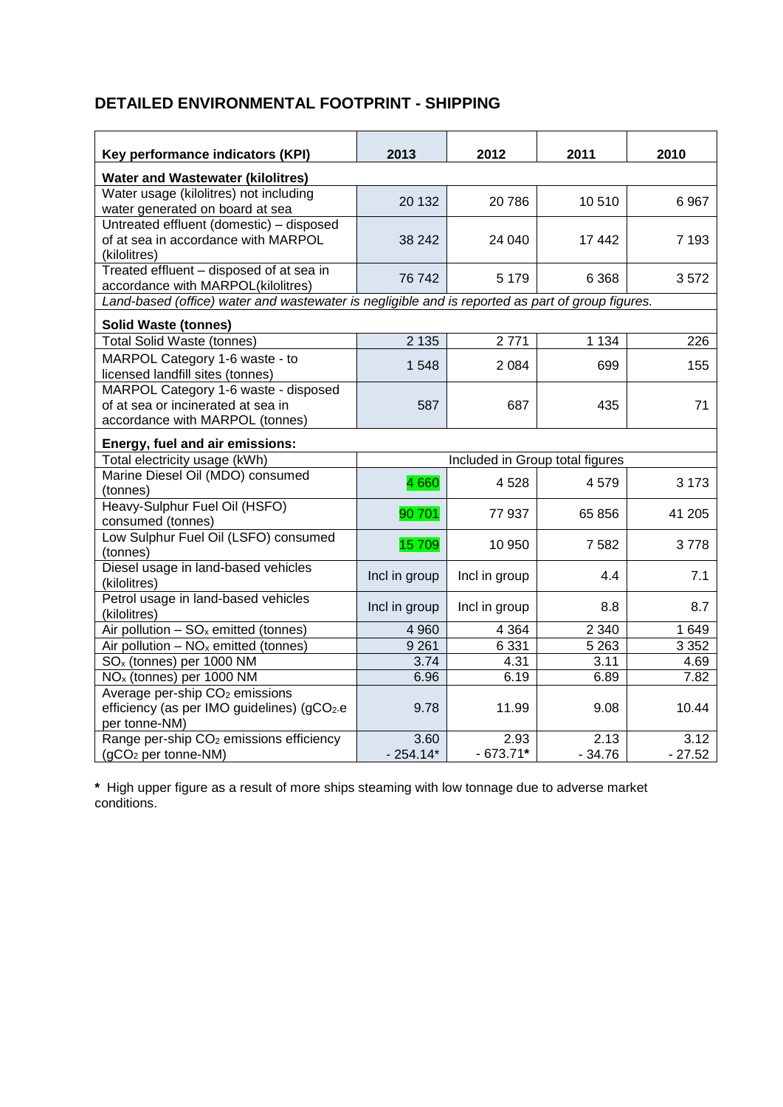# **DETAILED ENVIRONMENTAL FOOTPRINT - SHIPPING**

| Key performance indicators (KPI)                                                                              | 2013          | 2012                            | 2011     | 2010     |
|---------------------------------------------------------------------------------------------------------------|---------------|---------------------------------|----------|----------|
| <b>Water and Wastewater (kilolitres)</b>                                                                      |               |                                 |          |          |
| Water usage (kilolitres) not including<br>water generated on board at sea                                     | 20 132        | 20786                           | 10510    | 6967     |
| Untreated effluent (domestic) - disposed<br>of at sea in accordance with MARPOL<br>(kilolitres)               | 38 24 2       | 24 040                          | 17 442   | 7 1 9 3  |
| Treated effluent - disposed of at sea in<br>accordance with MARPOL(kilolitres)                                | 76742         | 5 1 7 9                         | 6 3 6 8  | 3572     |
| Land-based (office) water and wastewater is negligible and is reported as part of group figures.              |               |                                 |          |          |
| <b>Solid Waste (tonnes)</b>                                                                                   |               |                                 |          |          |
| <b>Total Solid Waste (tonnes)</b>                                                                             | 2 1 3 5       | 2771                            | 1 1 3 4  | 226      |
| MARPOL Category 1-6 waste - to<br>licensed landfill sites (tonnes)                                            | 1548          | 2 0 8 4                         | 699      | 155      |
| MARPOL Category 1-6 waste - disposed<br>of at sea or incinerated at sea in<br>accordance with MARPOL (tonnes) | 587           | 687                             | 435      | 71       |
| Energy, fuel and air emissions:                                                                               |               |                                 |          |          |
| Total electricity usage (kWh)                                                                                 |               | Included in Group total figures |          |          |
| Marine Diesel Oil (MDO) consumed<br>(tonnes)                                                                  | 4660          | 4528                            | 4579     | 3 1 7 3  |
| Heavy-Sulphur Fuel Oil (HSFO)<br>consumed (tonnes)                                                            | 90 701        | 77 937                          | 65 856   | 41 205   |
| Low Sulphur Fuel Oil (LSFO) consumed<br>(tonnes)                                                              | 15 709        | 10 950                          | 7582     | 3778     |
| Diesel usage in land-based vehicles<br>(kilolitres)                                                           | Incl in group | Incl in group                   | 4.4      | 7.1      |
| Petrol usage in land-based vehicles<br>(kilolitres)                                                           | Incl in group | Incl in group                   | 8.8      | 8.7      |
| Air pollution $-$ SO <sub>x</sub> emitted (tonnes)                                                            | 4 9 6 0       | 4 3 6 4                         | 2 3 4 0  | 1 6 4 9  |
| Air pollution $- NO_x$ emitted (tonnes)                                                                       | 9 2 6 1       | 6 3 3 1                         | 5 2 6 3  | 3 3 5 2  |
| SO <sub>x</sub> (tonnes) per 1000 NM                                                                          | 3.74          | 4.31                            | 3.11     | 4.69     |
| NO <sub>x</sub> (tonnes) per 1000 NM                                                                          | 6.96          | 6.19                            | 6.89     | 7.82     |
| Average per-ship CO <sub>2</sub> emissions<br>efficiency (as per IMO guidelines) (gCO2-e<br>per tonne-NM)     | 9.78          | 11.99                           | 9.08     | 10.44    |
| Range per-ship CO <sub>2</sub> emissions efficiency                                                           | 3.60          | 2.93                            | 2.13     | 3.12     |
| (gCO <sub>2</sub> per tonne-NM)                                                                               | $-254.14*$    | $-673.71*$                      | $-34.76$ | $-27.52$ |

**\*** High upper figure as a result of more ships steaming with low tonnage due to adverse market conditions.